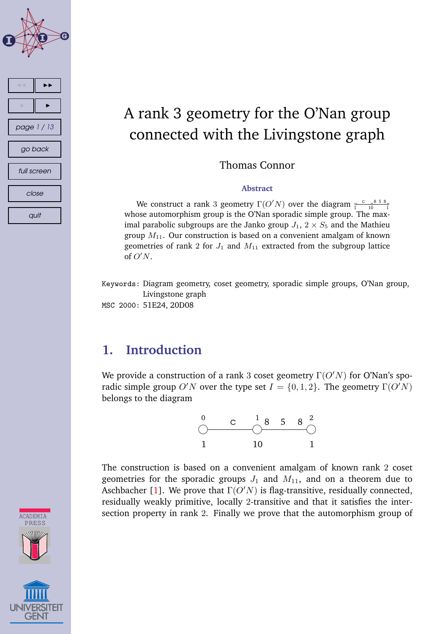

# A rank 3 geometry for the O'Nan group connected with the Livingstone graph

Thomas Connor

#### **Abstract**

We construct a rank 3 geometry  $\Gamma(O'N)$  over the diagram  $\frac{c}{1-\frac{6}{10}} \frac{858}{1-\frac{6}{10}}$  $C \t 8 5 8$ whose automorphism group is the O'Nan sporadic simple group. The maximal parabolic subgroups are the Janko group  $J_1$ ,  $2 \times S_5$  and the Mathieu group  $M_{11}$ . Our construction is based on a convenient amalgam of known geometries of rank 2 for  $J_1$  and  $M_{11}$  extracted from the subgroup lattice of  $O'N$ .

Keywords: Diagram geometry, coset geometry, sporadic simple groups, O'Nan group, Livingstone graph

MSC 2000: 51E24, 20D08

# **1. Introduction**

We provide a construction of a rank 3 coset geometry  $\Gamma(O'N)$  for O'Nan's sporadic simple group O'N over the type set  $I = \{0, 1, 2\}$ . The geometry  $\Gamma(O'N)$ belongs to the diagram



The construction is based on a convenient amalgam of known rank 2 coset geometries for the sporadic groups  $J_1$  and  $M_{11}$ , and on a theorem due to Aschbacher [\[1\]](#page-10-0). We prove that  $\Gamma(O'N)$  is flag-transitive, residually connected, residually weakly primitive, locally 2-transitive and that it satisfies the intersection property in rank 2. Finally we prove that the automorphism group of

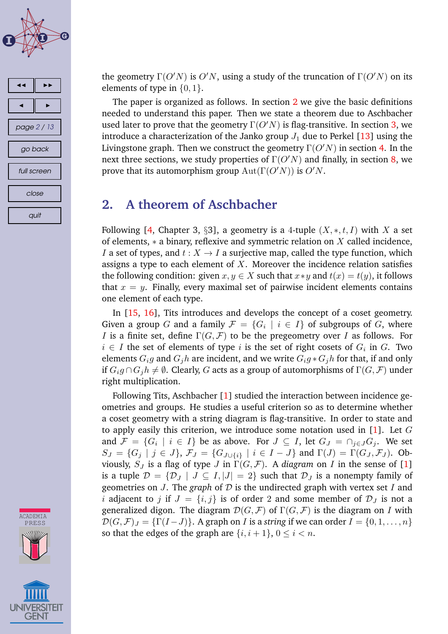<span id="page-1-0"></span>





the geometry  $\Gamma(O'N)$  is  $O'N$ , using a study of the truncation of  $\Gamma(O'N)$  on its elements of type in  $\{0, 1\}$ .

The paper is organized as follows. In section 2 we give the basic definitions needed to understand this paper. Then we state a theorem due to Aschbacher used later to prove that the geometry  $\Gamma(O'N)$  is flag-transitive. In section [3,](#page-2-0) we introduce a characterization of the Janko group  $J_1$  due to Perkel [\[13\]](#page-11-0) using the Livingstone graph. Then we construct the geometry  $\Gamma(O'N)$  in section [4.](#page-3-0) In the next three sections, we study properties of  $\Gamma(O'N)$  and finally, in section [8,](#page-9-0) we prove that its automorphism group  $Aut(\Gamma(O'N))$  is  $O'N$ .

#### **2. A theorem of Aschbacher**

Following [\[4,](#page-11-0) Chapter 3, §3], a geometry is a 4-tuple  $(X, \ast, t, I)$  with X a set of elements,  $*$  a binary, reflexive and symmetric relation on  $X$  called incidence, I a set of types, and  $t : X \to I$  a surjective map, called the type function, which assigns a type to each element of  $X$ . Moreover the incidence relation satisfies the following condition: given  $x, y \in X$  such that  $x * y$  and  $t(x) = t(y)$ , it follows that  $x = y$ . Finally, every maximal set of pairwise incident elements contains one element of each type.

In [\[15,](#page-11-0) [16\]](#page-11-0), Tits introduces and develops the concept of a coset geometry. Given a group  $G$  and a family  $\mathcal{F} \,=\, \{ G_i \,\mid\, i \,\in\, I \}$  of subgroups of  $G,$  where *I* is a finite set, define  $\Gamma(G, \mathcal{F})$  to be the pregeometry over *I* as follows. For  $i \in I$  the set of elements of type  $i$  is the set of right cosets of  $G_i$  in  $G$ . Two elements  $G_i g$  and  $G_j h$  are incident, and we write  $G_i g * G_j h$  for that, if and only if  $G_i g \cap G_j h \neq \emptyset$ . Clearly, G acts as a group of automorphisms of  $\Gamma(G, \mathcal{F})$  under right multiplication.

Following Tits, Aschbacher [\[1\]](#page-10-0) studied the interaction between incidence geometries and groups. He studies a useful criterion so as to determine whether a coset geometry with a string diagram is flag-transitive. In order to state and to apply easily this criterion, we introduce some notation used in  $[1]$ . Let G and  $\mathcal{F} = \{G_i \mid i \in I\}$  be as above. For  $J \subseteq I$ , let  $G_J = \cap_{j \in J} G_j$ . We set  $S_J = \{G_j \mid j \in J\}, \mathcal{F}_J = \{G_{J \cup \{i\}} \mid i \in I - J\}$  and  $\Gamma(J) = \Gamma(G_J, \mathcal{F}_J)$ . Obviously,  $S_J$  is a flag of type J in  $\Gamma(G, \mathcal{F})$ . A *diagram* on I in the sense of [\[1\]](#page-10-0) is a tuple  $\mathcal{D} = {\mathcal{D}_J | J \subseteq I, |J| = 2}$  such that  $\mathcal{D}_J$  is a nonempty family of geometries on J. The *graph* of D is the undirected graph with vertex set I and i adjacent to j if  $J = \{i, j\}$  is of order 2 and some member of  $\mathcal{D}_J$  is not a generalized digon. The diagram  $\mathcal{D}(G, \mathcal{F})$  of  $\Gamma(G, \mathcal{F})$  is the diagram on I with  $\mathcal{D}(G,\mathcal{F})_J = \{\Gamma(I-J)\}\$ . A graph on *I* is a *string* if we can order  $I = \{0,1,\ldots,n\}$ so that the edges of the graph are  $\{i, i+1\}$ ,  $0 \le i < n$ .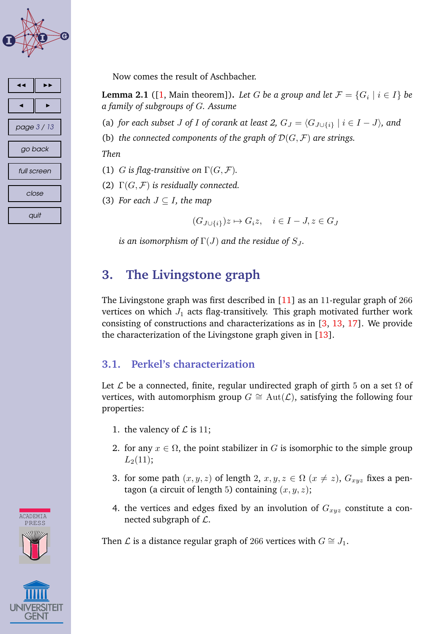<span id="page-2-0"></span>



Now comes the result of Aschbacher.

**Lemma 2.1** ([ $1$ , Main theorem]). *Let G be a group and let*  $\mathcal{F} = \{G_i \mid i \in I\}$  *be a family of subgroups of* G*. Assume*

(a) *for each subset J of I of corank at least 2,*  $G_J = \langle G_{J \cup \{i\}} | i \in I - J \rangle$ *, and* 

(b) *the connected components of the graph of*  $\mathcal{D}(G, \mathcal{F})$  *are strings.* 

*Then*

- (1) G is flag-transitive on  $\Gamma(G, \mathcal{F})$ .
- (2)  $\Gamma(G, \mathcal{F})$  *is residually connected.*

(3) *For each*  $J \subseteq I$ *, the map* 

 $(G_{J\cup\{i\}})z \mapsto G_iz, \quad i \in I - J, z \in G_J$ 

*is an isomorphism of*  $\Gamma(J)$  *and the residue of*  $S_J$ *.* 

# **3. The Livingstone graph**

The Livingstone graph was first described in [\[11\]](#page-11-0) as an 11-regular graph of 266 vertices on which  $J_1$  acts flag-transitively. This graph motivated further work consisting of constructions and characterizations as in [\[3,](#page-10-0) [13,](#page-11-0) [17\]](#page-11-0). We provide the characterization of the Livingstone graph given in [\[13\]](#page-11-0).

#### **3.1. Perkel's characterization**

Let  $\mathcal L$  be a connected, finite, regular undirected graph of girth 5 on a set  $\Omega$  of vertices, with automorphism group  $G \cong \text{Aut}(\mathcal{L})$ , satisfying the following four properties:

- 1. the valency of  $\mathcal L$  is 11;
- 2. for any  $x \in \Omega$ , the point stabilizer in G is isomorphic to the simple group  $L_2(11);$
- 3. for some path  $(x, y, z)$  of length 2,  $x, y, z \in \Omega$   $(x \neq z)$ ,  $G_{xyz}$  fixes a pentagon (a circuit of length 5) containing  $(x, y, z)$ ;
- 4. the vertices and edges fixed by an involution of  $G_{xyz}$  constitute a connected subgraph of  $\mathcal{L}$ .

Then *L* is a distance regular graph of 266 vertices with  $G \cong J_1$ .



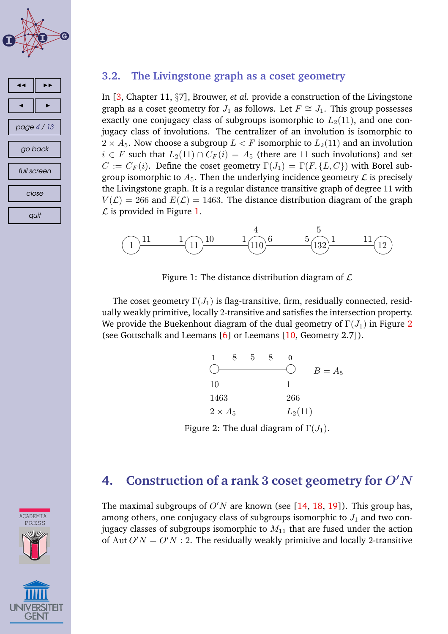<span id="page-3-0"></span>



#### **3.2. The Livingstone graph as a coset geometry**

In [\[3,](#page-10-0) Chapter 11, §7], Brouwer, *et al.* provide a construction of the Livingstone graph as a coset geometry for  $J_1$  as follows. Let  $F \cong J_1$ . This group possesses exactly one conjugacy class of subgroups isomorphic to  $L_2(11)$ , and one conjugacy class of involutions. The centralizer of an involution is isomorphic to  $2 \times A_5$ . Now choose a subgroup  $L \lt F$  isomorphic to  $L_2(11)$  and an involution  $i \in F$  such that  $L_2(11) \cap C_F(i) = A_5$  (there are 11 such involutions) and set  $C := C_F(i)$ . Define the coset geometry  $\Gamma(J_1) = \Gamma(F, \{L, C\})$  with Borel subgroup isomorphic to  $A_5$ . Then the underlying incidence geometry  $\mathcal L$  is precisely the Livingstone graph. It is a regular distance transitive graph of degree 11 with  $V(\mathcal{L}) = 266$  and  $E(\mathcal{L}) = 1463$ . The distance distribution diagram of the graph  $\mathcal L$  is provided in Figure 1.



Figure 1: The distance distribution diagram of  $\mathcal L$ 

The coset geometry  $\Gamma(J_1)$  is flag-transitive, firm, residually connected, residually weakly primitive, locally 2-transitive and satisfies the intersection property. We provide the Buekenhout diagram of the dual geometry of  $\Gamma(J_1)$  in Figure 2 (see Gottschalk and Leemans [\[6\]](#page-11-0) or Leemans [\[10,](#page-11-0) Geometry 2.7]).

|                | 5 |           |         |
|----------------|---|-----------|---------|
|                |   |           | $B=A_5$ |
| 10             |   |           |         |
| 1463           |   | 266       |         |
| $2 \times A_5$ |   | $L_2(11)$ |         |

Figure 2: The dual diagram of  $\Gamma(J_1)$ .

#### **4. Construction of a rank** 3 **coset geometry for** O′N

The maximal subgroups of  $O'N$  are known (see [\[14,](#page-11-0) [18,](#page-12-0) [19\]](#page-12-0)). This group has, among others, one conjugacy class of subgroups isomorphic to  $J_1$  and two conjugacy classes of subgroups isomorphic to  $M_{11}$  that are fused under the action of Aut  $O'N = O'N$ : 2. The residually weakly primitive and locally 2-transitive



**ACADEMIA**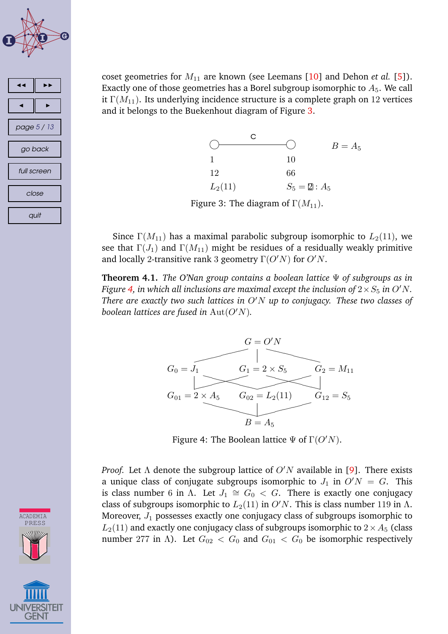<span id="page-4-0"></span>

coset geometries for  $M_{11}$  are known (see Leemans [\[10\]](#page-11-0) and Dehon *et al.* [\[5\]](#page-11-0)). Exactly one of those geometries has a Borel subgroup isomorphic to  $A_5$ . We call it  $\Gamma(M_{11})$ . Its underlying incidence structure is a complete graph on 12 vertices and it belongs to the Buekenhout diagram of Figure 3.



Figure 3: The diagram of  $\Gamma(M_{11})$ .

Since  $\Gamma(M_{11})$  has a maximal parabolic subgroup isomorphic to  $L_2(11)$ , we see that  $\Gamma(J_1)$  and  $\Gamma(M_{11})$  might be residues of a residually weakly primitive and locally 2-transitive rank 3 geometry  $\Gamma(O'N)$  for  $O'N$ .

**Theorem 4.1.** *The O'Nan group contains a boolean lattice* Ψ *of subgroups as in Figure* 4, in which all inclusions are maximal except the inclusion of  $2 \times S_5$  in O'N. *There are exactly two such lattices in* O′N *up to conjugacy. These two classes of boolean lattices are fused in*  $Aut(O'N)$ *.* 



Figure 4: The Boolean lattice  $\Psi$  of  $\Gamma(O'N)$ .

*Proof.* Let  $\Lambda$  denote the subgroup lattice of  $O'N$  available in [\[9\]](#page-11-0). There exists a unique class of conjugate subgroups isomorphic to  $J_1$  in  $O/N = G$ . This is class number 6 in  $\Lambda$ . Let  $J_1 \cong G_0 < G$ . There is exactly one conjugacy class of subgroups isomorphic to  $L_2(11)$  in  $O'N$ . This is class number 119 in  $\Lambda$ . Moreover,  $J_1$  possesses exactly one conjugacy class of subgroups isomorphic to  $L_2(11)$  and exactly one conjugacy class of subgroups isomorphic to  $2 \times A_5$  (class number 277 in Λ). Let  $G_{02} < G_0$  and  $G_{01} < G_0$  be isomorphic respectively

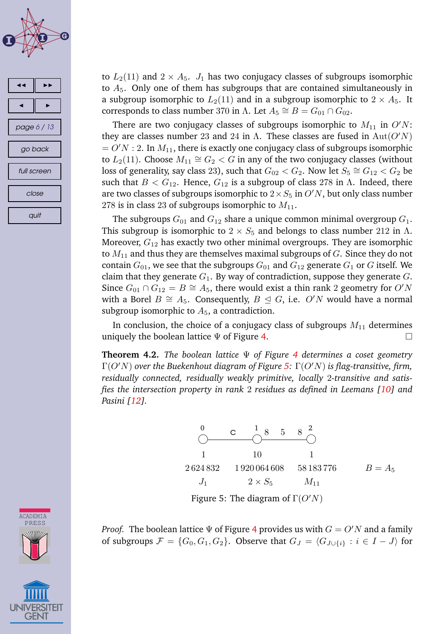<span id="page-5-0"></span>

to  $L_2(11)$  and  $2 \times A_5$ .  $J_1$  has two conjugacy classes of subgroups isomorphic to  $A_5$ . Only one of them has subgroups that are contained simultaneously in a subgroup isomorphic to  $L_2(11)$  and in a subgroup isomorphic to  $2 \times A_5$ . It corresponds to class number 370 in  $\Lambda$ . Let  $A_5 \cong B = G_{01} \cap G_{02}$ .

There are two conjugacy classes of subgroups isomorphic to  $M_{11}$  in  $O'N$ : they are classes number 23 and 24 in  $\Lambda$ . These classes are fused in  $Aut(O'N)$  $= O'N : 2$ . In  $M_{11}$ , there is exactly one conjugacy class of subgroups isomorphic to  $L_2(11)$ . Choose  $M_{11} \cong G_2 < G$  in any of the two conjugacy classes (without loss of generality, say class 23), such that  $G_{02} < G_2$ . Now let  $S_5 \cong G_{12} < G_2$  be such that  $B < G_{12}$ . Hence,  $G_{12}$  is a subgroup of class 278 in  $\Lambda$ . Indeed, there are two classes of subgroups isomorphic to  $2 \times S_5$  in  $O'N$ , but only class number 278 is in class 23 of subgroups isomorphic to  $M_{11}$ .

The subgroups  $G_{01}$  and  $G_{12}$  share a unique common minimal overgroup  $G_1$ . This subgroup is isomorphic to  $2 \times S_5$  and belongs to class number 212 in Λ. Moreover,  $G_{12}$  has exactly two other minimal overgroups. They are isomorphic to  $M_{11}$  and thus they are themselves maximal subgroups of  $G$ . Since they do not contain  $G_{01}$ , we see that the subgroups  $G_{01}$  and  $G_{12}$  generate  $G_1$  or G itself. We claim that they generate  $G_1$ . By way of contradiction, suppose they generate  $G$ . Since  $G_{01} \cap G_{12} = B \cong A_5$ , there would exist a thin rank 2 geometry for O'N with a Borel  $B \cong A_5$ . Consequently,  $B \subseteq G$ , i.e. O'N would have a normal subgroup isomorphic to  $A_5$ , a contradiction.

In conclusion, the choice of a conjugacy class of subgroups  $M_{11}$  determines uniquely the boolean lattice  $\Psi$  of Figure [4.](#page-4-0)

**Theorem 4.2.** *The boolean lattice* Ψ *of Figure [4](#page-4-0) determines a coset geometry* Γ(O′N) *over the Buekenhout diagram of Figure 5:* Γ(O′N) *is flag-transitive, firm, residually connected, residually weakly primitive, locally* 2*-transitive and satisfies the intersection property in rank* 2 *residues as defined in Leemans [\[10\]](#page-11-0) and Pasini [\[12\]](#page-11-0).*



Figure 5: The diagram of  $\Gamma(O'N)$ 

*Proof.* The boolean lattice  $\Psi$  of Figure [4](#page-4-0) provides us with  $G = O'N$  and a family of subgroups  $\mathcal{F} = \{G_0, G_1, G_2\}$ . Observe that  $G_J = \langle G_{J \cup \{i\}} : i \in I - J \rangle$  for

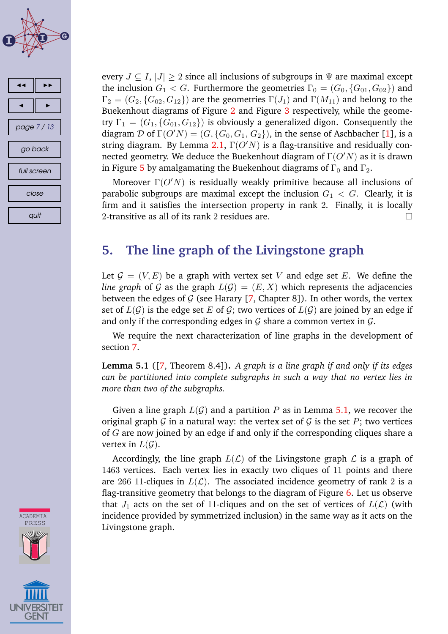<span id="page-6-0"></span>



**ACADEMIA** PRESS

every  $J \subseteq I$ ,  $|J| \geq 2$  since all inclusions of subgroups in  $\Psi$  are maximal except the inclusion  $G_1 < G$ . Furthermore the geometries  $\Gamma_0 = (G_0, \{G_{01}, G_{02}\})$  and  $\Gamma_2 = (G_2, \{G_{02}, G_{12}\})$  are the geometries  $\Gamma(J_1)$  and  $\Gamma(M_{11})$  and belong to the Buekenhout diagrams of Figure [2](#page-3-0) and Figure [3](#page-4-0) respectively, while the geometry  $\Gamma_1 = (G_1, \{G_{01}, G_{12}\})$  is obviously a generalized digon. Consequently the diagram  $\mathcal D$  of  $\Gamma(O'N) = (G, \{G_0, G_1, G_2\})$ , in the sense of Aschbacher [\[1\]](#page-10-0), is a string diagram. By Lemma [2.1,](#page-2-0)  $\Gamma(O'N)$  is a flag-transitive and residually connected geometry. We deduce the Buekenhout diagram of  $\Gamma(O'N)$  as it is drawn in Figure [5](#page-5-0) by amalgamating the Buekenhout diagrams of  $\Gamma_0$  and  $\Gamma_2$ .

Moreover  $\Gamma(O'N)$  is residually weakly primitive because all inclusions of parabolic subgroups are maximal except the inclusion  $G_1 < G$ . Clearly, it is firm and it satisfies the intersection property in rank 2. Finally, it is locally 2-transitive as all of its rank 2 residues are.  $\Box$ 

# **5. The line graph of the Livingstone graph**

Let  $\mathcal{G} = (V, E)$  be a graph with vertex set V and edge set E. We define the *line graph* of G as the graph  $L(G) = (E, X)$  which represents the adjacencies between the edges of  $G$  (see Harary [\[7,](#page-11-0) Chapter 8]). In other words, the vertex set of  $L(G)$  is the edge set E of G; two vertices of  $L(G)$  are joined by an edge if and only if the corresponding edges in  $\mathcal G$  share a common vertex in  $\mathcal G$ .

We require the next characterization of line graphs in the development of section [7.](#page-7-0)

**Lemma 5.1** ([\[7,](#page-11-0) Theorem 8.4])**.** *A graph is a line graph if and only if its edges can be partitioned into complete subgraphs in such a way that no vertex lies in more than two of the subgraphs.*

Given a line graph  $L(G)$  and a partition P as in Lemma 5.1, we recover the original graph  $G$  in a natural way: the vertex set of  $G$  is the set  $P$ ; two vertices of G are now joined by an edge if and only if the corresponding cliques share a vertex in  $L(G)$ .

Accordingly, the line graph  $L(\mathcal{L})$  of the Livingstone graph  $\mathcal L$  is a graph of 1463 vertices. Each vertex lies in exactly two cliques of 11 points and there are 266 11-cliques in  $L(\mathcal{L})$ . The associated incidence geometry of rank 2 is a flag-transitive geometry that belongs to the diagram of Figure [6.](#page-7-0) Let us observe that  $J_1$  acts on the set of 11-cliques and on the set of vertices of  $L(\mathcal{L})$  (with incidence provided by symmetrized inclusion) in the same way as it acts on the Livingstone graph.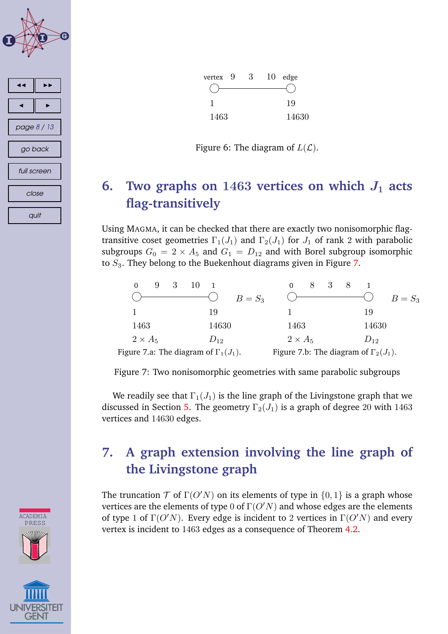<span id="page-7-0"></span>





Figure 6: The diagram of  $L(\mathcal{L})$ .

# **6.** Two graphs on  $1463$  vertices on which  $J_1$  acts **flag-transitively**

Using MAGMA, it can be checked that there are exactly two nonisomorphic flagtransitive coset geometries  $\Gamma_1(J_1)$  and  $\Gamma_2(J_1)$  for  $J_1$  of rank 2 with parabolic subgroups  $G_0 = 2 \times A_5$  and  $G_1 = D_{12}$  and with Borel subgroup isomorphic to  $S_3$ . They belong to the Buekenhout diagrams given in Figure 7.

|                                              | $B=S_3$  |                                              | $B=S_3$  |
|----------------------------------------------|----------|----------------------------------------------|----------|
|                                              | 19       |                                              | 19       |
| 1463                                         | 14630    | 1463                                         | 14630    |
| $2 \times A_5$                               | $D_{12}$ | $2 \times A_5$                               | $D_{12}$ |
| Figure 7.a: The diagram of $\Gamma_1(J_1)$ . |          | Figure 7.b: The diagram of $\Gamma_2(J_1)$ . |          |

Figure 7: Two nonisomorphic geometries with same parabolic subgroups

We readily see that  $\Gamma_1(J_1)$  is the line graph of the Livingstone graph that we discussed in Section [5.](#page-6-0) The geometry  $\Gamma_2(J_1)$  is a graph of degree 20 with 1463 vertices and 14630 edges.

# **7. A graph extension involving the line graph of the Livingstone graph**

The truncation  $T$  of  $\Gamma(O'N)$  on its elements of type in  $\{0,1\}$  is a graph whose vertices are the elements of type 0 of  $\Gamma(O'N)$  and whose edges are the elements of type 1 of  $\Gamma(O'N)$ . Every edge is incident to 2 vertices in  $\Gamma(O'N)$  and every vertex is incident to 1463 edges as a consequence of Theorem [4.2.](#page-5-0)

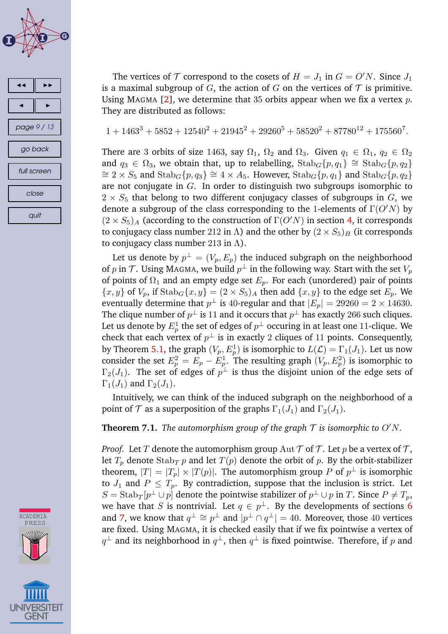<span id="page-8-0"></span>

close

quit

**ACADEMIA** PRESS

The vertices of  $T$  correspond to the cosets of  $H = J_1$  in  $G = O'N$ . Since  $J_1$ is a maximal subgroup of G, the action of G on the vertices of  $\mathcal T$  is primitive. Using MAGMA [\[2\]](#page-10-0), we determine that 35 orbits appear when we fix a vertex  $p$ . They are distributed as follows:

$$
1+1463^3+5852+12540^2+21945^2+29260^5+58520^2+87780^{12}+175560^7.\\
$$

There are 3 orbits of size 1463, say  $\Omega_1$ ,  $\Omega_2$  and  $\Omega_3$ . Given  $q_1 \in \Omega_1$ ,  $q_2 \in \Omega_2$ and  $q_3 \in \Omega_3$ , we obtain that, up to relabelling,  $\text{Stab}_G\{p,q_1\} \cong \text{Stab}_G\{p,q_2\}$  $\cong$  2 × S<sub>5</sub> and Stab<sub>G</sub>{p, q<sub>3</sub>}  $\cong$  4 × A<sub>5</sub>. However, Stab<sub>G</sub>{p, q<sub>1</sub>} and Stab<sub>G</sub>{p, q<sub>2</sub>} are not conjugate in G. In order to distinguish two subgroups isomorphic to  $2 \times S_5$  that belong to two different conjugacy classes of subgroups in G, we denote a subgroup of the class corresponding to the 1-elements of  $\Gamma(O'N)$  by  $(2 \times S_5)$ <sub>A</sub> (according to the construction of  $\Gamma$ (*O'N*) in section [4,](#page-3-0) it corresponds to conjugacy class number 212 in Λ) and the other by  $(2 \times S_5)_B$  (it corresponds to conjugacy class number 213 in  $\Lambda$ ).

Let us denote by  $p^\perp = (V_p, E_p)$  the induced subgraph on the neighborhood of  $p$  in  ${\cal T}.$  Using MAGMA, we build  $p^\perp$  in the following way. Start with the set  $V_p$ of points of  $\Omega_1$  and an empty edge set  $E_p$ . For each (unordered) pair of points  ${x, y}$  of  $V_p$ , if  $\text{Stab}_G\{x, y\} = (2 \times S_5)_A$  then add  $\{x, y\}$  to the edge set  $E_p$ . We eventually determine that  $p^\perp$  is 40-regular and that  $|E_p| = 29260 = 2 \times 14630.$ The clique number of  $p^\perp$  is 11 and it occurs that  $p^\perp$  has exactly 266 such cliques. Let us denote by  $E^1_p$  the set of edges of  $p^\perp$  occuring in at least one 11-clique. We check that each vertex of  $p^\perp$  is in exactly 2 cliques of 11 points. Consequently, by Theorem [5.1,](#page-6-0) the graph  $(V_p, E_p^1)$  is isomorphic to  $L(\mathcal{L}) = \Gamma_1(J_1)$ . Let us now consider the set  $E_p^2 = E_p - E_p^1$ . The resulting graph  $(V_p, E_p^2)$  is isomorphic to  $\Gamma_2(J_1)$ . The set of edges of  $p^\perp$  is thus the disjoint union of the edge sets of  $\Gamma_1(J_1)$  and  $\Gamma_2(J_1)$ .

Intuitively, we can think of the induced subgraph on the neighborhood of a point of  $\mathcal T$  as a superposition of the graphs  $\Gamma_1(J_1)$  and  $\Gamma_2(J_1)$ .

**Theorem 7.1.** *The automorphism group of the graph*  $\mathcal T$  *is isomorphic to*  $O'N$ *.* 

*Proof.* Let T denote the automorphism group  $\text{Aut } \mathcal{T}$  of T. Let p be a vertex of T, let  $T_p$  denote  $\text{Stab}_T p$  and let  $T(p)$  denote the orbit of p. By the orbit-stabilizer theorem,  $|T|=|T_p|\times |T(p)|.$  The automorphism group  $P$  of  $p^\perp$  is isomorphic to  $J_1$  and  $P \leq T_p$ . By contradiction, suppose that the inclusion is strict. Let  $S=\operatorname{Stab}_T[p^\perp\cup p]$  denote the pointwise stabilizer of  $p^\perp\cup p$  in  $T.$  Since  $P\neq T_p,$ we have that  $S$  is nontrivial. Let  $q\,\in\,p^\perp.$  By the developments of sections  $\bf 6$  $\bf 6$ and [7,](#page-7-0) we know that  $q^\perp \cong p^\perp$  and  $|p^\perp \cap q^\perp| = 40.$  Moreover, those  $40$  vertices are fixed. Using MAGMA, it is checked easily that if we fix pointwise a vertex of  $q^\perp$  and its neighborhood in  $q^\perp$ , then  $q^\perp$  is fixed pointwise. Therefore, if  $p$  and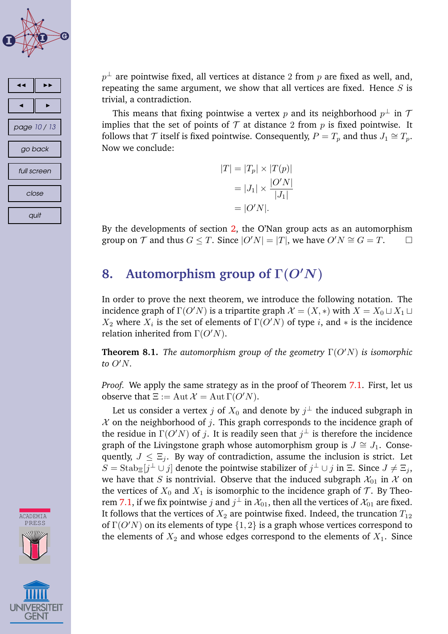<span id="page-9-0"></span>



 $p^\perp$  are pointwise fixed, all vertices at distance  $2$  from  $p$  are fixed as well, and, repeating the same argument, we show that all vertices are fixed. Hence  $S$  is trivial, a contradiction.

This means that fixing pointwise a vertex  $p$  and its neighborhood  $p^\perp$  in  $\mathcal T$ implies that the set of points of  $\mathcal T$  at distance 2 from p is fixed pointwise. It follows that  $\mathcal T$  itself is fixed pointwise. Consequently,  $P=T_p$  and thus  $J_1\cong T_p$ . Now we conclude:

$$
|T| = |T_p| \times |T(p)|
$$

$$
= |J_1| \times \frac{|O'N|}{|J_1|}
$$

$$
= |O'N|.
$$

By the developments of section [2,](#page-1-0) the O'Nan group acts as an automorphism group on T and thus  $G \leq T$ . Since  $|O'N| = |T|$ , we have  $O'N \cong G = T$ .  $\Box$ 

# **8. Automorphism group of** Γ(O′N)

In order to prove the next theorem, we introduce the following notation. The incidence graph of  $\Gamma(O'N)$  is a tripartite graph  $\mathcal{X} = (X, *)$  with  $X = X_0 \sqcup X_1 \sqcup X_2$  $X_2$  where  $X_i$  is the set of elements of  $\Gamma(O'N)$  of type i, and  $*$  is the incidence relation inherited from  $\Gamma(O'N)$ .

**Theorem 8.1.** *The automorphism group of the geometry* Γ(O′N) *is isomorphic to* O′N*.*

*Proof.* We apply the same strategy as in the proof of Theorem [7.1.](#page-8-0) First, let us observe that  $\Xi := \text{Aut }\mathcal{X} = \text{Aut }\Gamma(O'N)$ .

Let us consider a vertex  $j$  of  $X_0$  and denote by  $j^\perp$  the induced subgraph in  $X$  on the neighborhood of j. This graph corresponds to the incidence graph of the residue in  $\Gamma(O'N)$  of j. It is readily seen that  $j^\perp$  is therefore the incidence graph of the Livingstone graph whose automorphism group is  $J \cong J_1$ . Consequently,  $J \leq \Xi_i$ . By way of contradiction, assume the inclusion is strict. Let  $S=\mathrm{Stab}_{\Xi}[j^{\bot}\cup j]$  denote the pointwise stabilizer of  $j^{\bot}\cup j$  in  $\Xi$ . Since  $J\neq \Xi_j$ , we have that S is nontrivial. Observe that the induced subgraph  $\mathcal{X}_{01}$  in X on the vertices of  $X_0$  and  $X_1$  is isomorphic to the incidence graph of  $\mathcal T$ . By Theo-rem [7.1,](#page-8-0) if we fix pointwise  $j$  and  $j^\perp$  in  $\mathcal{X}_{01}$ , then all the vertices of  $\mathcal{X}_{01}$  are fixed. It follows that the vertices of  $X_2$  are pointwise fixed. Indeed, the truncation  $T_{12}$ of  $\Gamma(O'N)$  on its elements of type  $\{1, 2\}$  is a graph whose vertices correspond to the elements of  $X_2$  and whose edges correspond to the elements of  $X_1$ . Since

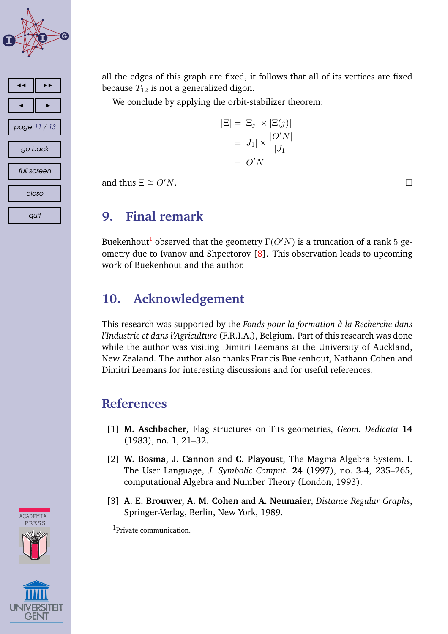<span id="page-10-0"></span>



all the edges of this graph are fixed, it follows that all of its vertices are fixed because  $T_{12}$  is not a generalized digon.

We conclude by applying the orbit-stabilizer theorem:

 $|\Xi| = |\Xi_j| \times |\Xi(j)|$  $= |J_1| \times \frac{|O'N|}{|I_1|}$  $|J_1|$  $= |O'N|$ 

and thus  $\Xi \cong O'N$ .

#### **9. Final remark**

Buekenhout $^{\mathbf{l}}$  observed that the geometry  $\Gamma(O'N)$  is a truncation of a rank  $5$  geometry due to Ivanov and Shpectorov [\[8\]](#page-11-0). This observation leads to upcoming work of Buekenhout and the author.

### **10. Acknowledgement**

This research was supported by the *Fonds pour la formation a la Recherche dans ` l'Industrie et dans l'Agriculture* (F.R.I.A.), Belgium. Part of this research was done while the author was visiting Dimitri Leemans at the University of Auckland, New Zealand. The author also thanks Francis Buekenhout, Nathann Cohen and Dimitri Leemans for interesting discussions and for useful references.

#### **References**

- [1] **M. Aschbacher**, Flag structures on Tits geometries, *Geom. Dedicata* **14** (1983), no. 1, 21–32.
- [2] **W. Bosma**, **J. Cannon** and **C. Playoust**, The Magma Algebra System. I. The User Language, *J. Symbolic Comput.* **24** (1997), no. 3-4, 235–265, computational Algebra and Number Theory (London, 1993).
- [3] **A. E. Brouwer**, **A. M. Cohen** and **A. Neumaier**, *Distance Regular Graphs*, Springer-Verlag, Berlin, New York, 1989.

<sup>1</sup>Private communication.



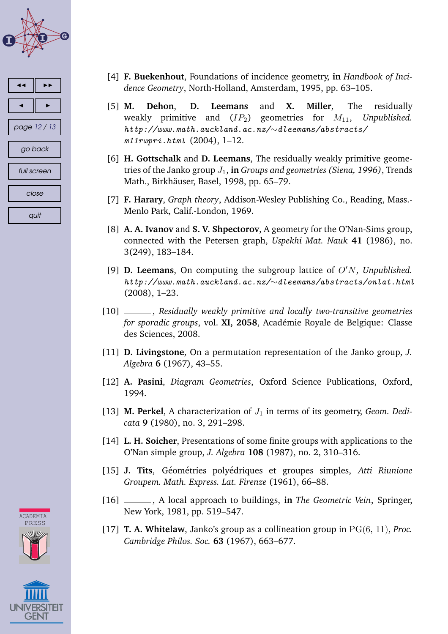<span id="page-11-0"></span>

| ◀            |  |  |  |  |  |
|--------------|--|--|--|--|--|
|              |  |  |  |  |  |
| page 12 / 13 |  |  |  |  |  |
| go back      |  |  |  |  |  |
| full screen  |  |  |  |  |  |
| close        |  |  |  |  |  |
| quit         |  |  |  |  |  |



- [4] **F. Buekenhout**, Foundations of incidence geometry, **in** *Handbook of Incidence Geometry*, North-Holland, Amsterdam, 1995, pp. 63–105.
- [5] **M. Dehon**, **D. Leemans** and **X. Miller**, The residually weakly primitive and  $(IP_2)$  geometries for  $M_{11}$ , Unpublished. *http://www.math.auckland.ac.nz/*∼*dleemans/abstracts/ m11rwpri.html* (2004), 1–12.
- [6] **H. Gottschalk** and **D. Leemans**, The residually weakly primitive geometries of the Janko group  $J_1$ , in *Groups and geometries (Siena, 1996)*, Trends Math., Birkhäuser, Basel, 1998, pp. 65–79.
- [7] **F. Harary**, *Graph theory*, Addison-Wesley Publishing Co., Reading, Mass.- Menlo Park, Calif.-London, 1969.
- [8] **A. A. Ivanov** and **S. V. Shpectorov**, A geometry for the O'Nan-Sims group, connected with the Petersen graph, *Uspekhi Mat. Nauk* **41** (1986), no. 3(249), 183–184.
- [9] **D. Leemans**, On computing the subgroup lattice of O′N, *Unpublished. http://www.math.auckland.ac.nz/*∼*dleemans/abstracts/onlat.html* (2008), 1–23.
- [10] , *Residually weakly primitive and locally two-transitive geometries for sporadic groups, vol. XI, 2058, Académie Royale de Belgique: Classe* des Sciences, 2008.
- [11] **D. Livingstone**, On a permutation representation of the Janko group, *J. Algebra* **6** (1967), 43–55.
- [12] **A. Pasini**, *Diagram Geometries*, Oxford Science Publications, Oxford, 1994.
- [13] **M. Perkel**, A characterization of  $J_1$  in terms of its geometry, *Geom. Dedicata* **9** (1980), no. 3, 291–298.
- [14] **L. H. Soicher**, Presentations of some finite groups with applications to the O'Nan simple group, *J. Algebra* **108** (1987), no. 2, 310–316.
- [15] **J. Tits**, Géométries polyédriques et groupes simples, Atti Riunione *Groupem. Math. Express. Lat. Firenze* (1961), 66–88.
- [16] , A local approach to buildings, **in** *The Geometric Vein*, Springer, New York, 1981, pp. 519–547.
- [17] **T. A. Whitelaw**, Janko's group as a collineation group in PG(6, 11), *Proc. Cambridge Philos. Soc.* **63** (1967), 663–677.